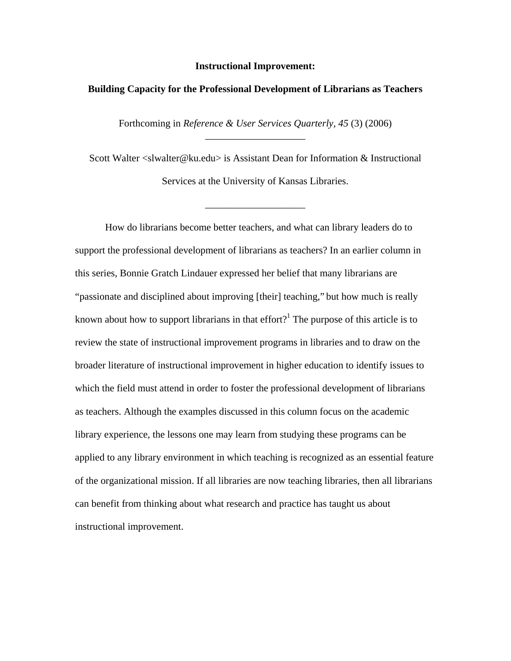#### **Instructional Improvement:**

### **Building Capacity for the Professional Development of Librarians as Teachers**

Forthcoming in *Reference & User Services Quarterly, 45* (3) (2006) \_\_\_\_\_\_\_\_\_\_\_\_\_\_\_\_\_\_\_\_

Scott Walter <slwalter@ku.edu> is Assistant Dean for Information & Instructional Services at the University of Kansas Libraries.

\_\_\_\_\_\_\_\_\_\_\_\_\_\_\_\_\_\_\_\_

 How do librarians become better teachers, and what can library leaders do to support the professional development of librarians as teachers? In an earlier column in this series, Bonnie Gratch Lindauer expressed her belief that many librarians are "passionate and disciplined about improving [their] teaching," but how much is really known about how to support librarians in that effort?<sup>1</sup> The purpose of this article is to review the state of instructional improvement programs in libraries and to draw on the broader literature of instructional improvement in higher education to identify issues to which the field must attend in order to foster the professional development of librarians as teachers. Although the examples discussed in this column focus on the academic library experience, the lessons one may learn from studying these programs can be applied to any library environment in which teaching is recognized as an essential feature of the organizational mission. If all libraries are now teaching libraries, then all librarians can benefit from thinking about what research and practice has taught us about instructional improvement.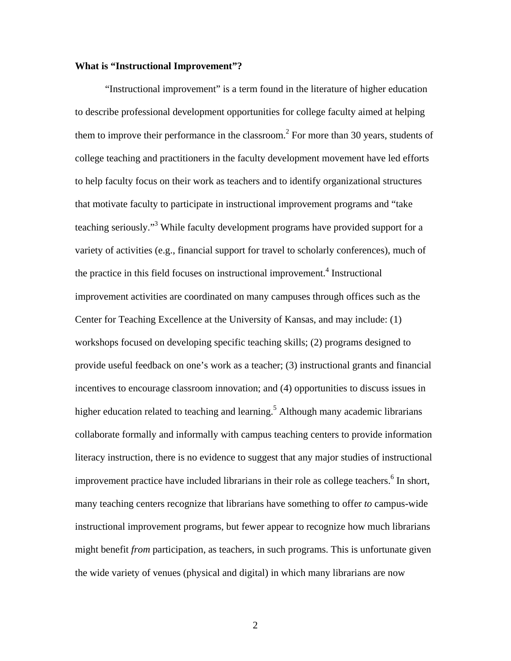# **What is "Instructional Improvement"?**

 "Instructional improvement" is a term found in the literature of higher education to describe professional development opportunities for college faculty aimed at helping them to improve their performance in the classroom.<sup>2</sup> For more than 30 years, students of college teaching and practitioners in the faculty development movement have led efforts to help faculty focus on their work as teachers and to identify organizational structures that motivate faculty to participate in instructional improvement programs and "take teaching seriously."<sup>3</sup> While faculty development programs have provided support for a variety of activities (e.g., financial support for travel to scholarly conferences), much of the practice in this field focuses on instructional improvement.<sup>4</sup> Instructional improvement activities are coordinated on many campuses through offices such as the Center for Teaching Excellence at the University of Kansas, and may include: (1) workshops focused on developing specific teaching skills; (2) programs designed to provide useful feedback on one's work as a teacher; (3) instructional grants and financial incentives to encourage classroom innovation; and (4) opportunities to discuss issues in higher education related to teaching and learning.<sup>5</sup> Although many academic librarians collaborate formally and informally with campus teaching centers to provide information literacy instruction, there is no evidence to suggest that any major studies of instructional improvement practice have included librarians in their role as college teachers.<sup>6</sup> In short, many teaching centers recognize that librarians have something to offer *to* campus-wide instructional improvement programs, but fewer appear to recognize how much librarians might benefit *from* participation, as teachers, in such programs. This is unfortunate given the wide variety of venues (physical and digital) in which many librarians are now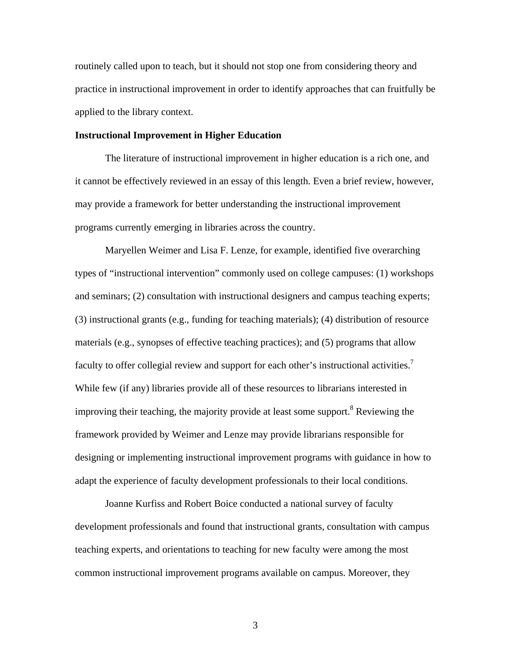routinely called upon to teach, but it should not stop one from considering theory and practice in instructional improvement in order to identify approaches that can fruitfully be applied to the library context.

#### **Instructional Improvement in Higher Education**

 The literature of instructional improvement in higher education is a rich one, and it cannot be effectively reviewed in an essay of this length. Even a brief review, however, may provide a framework for better understanding the instructional improvement programs currently emerging in libraries across the country.

Maryellen Weimer and Lisa F. Lenze, for example, identified five overarching types of "instructional intervention" commonly used on college campuses: (1) workshops and seminars; (2) consultation with instructional designers and campus teaching experts; (3) instructional grants (e.g., funding for teaching materials); (4) distribution of resource materials (e.g., synopses of effective teaching practices); and (5) programs that allow faculty to offer collegial review and support for each other's instructional activities.<sup>7</sup> While few (if any) libraries provide all of these resources to librarians interested in improving their teaching, the majority provide at least some support.<sup>8</sup> Reviewing the framework provided by Weimer and Lenze may provide librarians responsible for designing or implementing instructional improvement programs with guidance in how to adapt the experience of faculty development professionals to their local conditions.

Joanne Kurfiss and Robert Boice conducted a national survey of faculty development professionals and found that instructional grants, consultation with campus teaching experts, and orientations to teaching for new faculty were among the most common instructional improvement programs available on campus. Moreover, they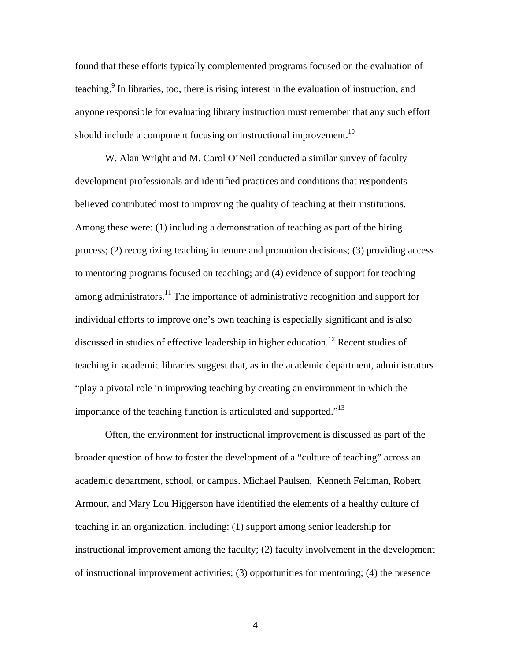found that these efforts typically complemented programs focused on the evaluation of teaching.<sup>9</sup> In libraries, too, there is rising interest in the evaluation of instruction, and anyone responsible for evaluating library instruction must remember that any such effort should include a component focusing on instructional improvement.<sup>10</sup>

W. Alan Wright and M. Carol O'Neil conducted a similar survey of faculty development professionals and identified practices and conditions that respondents believed contributed most to improving the quality of teaching at their institutions. Among these were: (1) including a demonstration of teaching as part of the hiring process; (2) recognizing teaching in tenure and promotion decisions; (3) providing access to mentoring programs focused on teaching; and (4) evidence of support for teaching among administrators.<sup>11</sup> The importance of administrative recognition and support for individual efforts to improve one's own teaching is especially significant and is also discussed in studies of effective leadership in higher education.<sup>12</sup> Recent studies of teaching in academic libraries suggest that, as in the academic department, administrators "play a pivotal role in improving teaching by creating an environment in which the importance of the teaching function is articulated and supported. $1^{13}$ 

Often, the environment for instructional improvement is discussed as part of the broader question of how to foster the development of a "culture of teaching" across an academic department, school, or campus. Michael Paulsen, Kenneth Feldman, Robert Armour, and Mary Lou Higgerson have identified the elements of a healthy culture of teaching in an organization, including: (1) support among senior leadership for instructional improvement among the faculty; (2) faculty involvement in the development of instructional improvement activities; (3) opportunities for mentoring; (4) the presence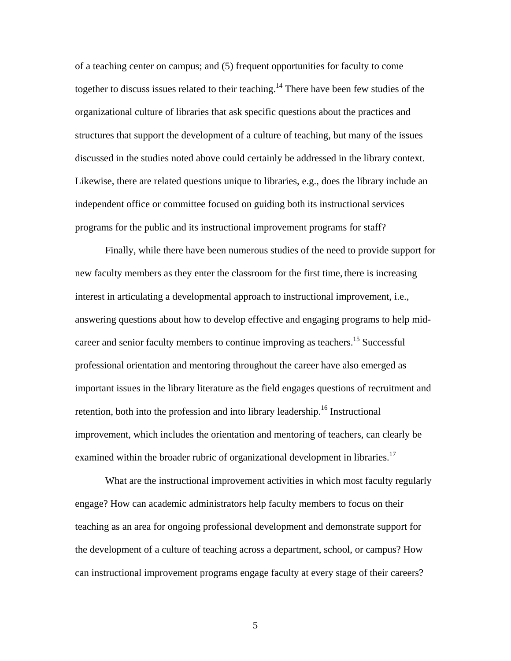of a teaching center on campus; and (5) frequent opportunities for faculty to come together to discuss issues related to their teaching.<sup>14</sup> There have been few studies of the organizational culture of libraries that ask specific questions about the practices and structures that support the development of a culture of teaching, but many of the issues discussed in the studies noted above could certainly be addressed in the library context. Likewise, there are related questions unique to libraries, e.g., does the library include an independent office or committee focused on guiding both its instructional services programs for the public and its instructional improvement programs for staff?

Finally, while there have been numerous studies of the need to provide support for new faculty members as they enter the classroom for the first time, there is increasing interest in articulating a developmental approach to instructional improvement, i.e., answering questions about how to develop effective and engaging programs to help midcareer and senior faculty members to continue improving as teachers.<sup>15</sup> Successful professional orientation and mentoring throughout the career have also emerged as important issues in the library literature as the field engages questions of recruitment and retention, both into the profession and into library leadership.<sup>16</sup> Instructional improvement, which includes the orientation and mentoring of teachers, can clearly be examined within the broader rubric of organizational development in libraries.<sup>17</sup>

What are the instructional improvement activities in which most faculty regularly engage? How can academic administrators help faculty members to focus on their teaching as an area for ongoing professional development and demonstrate support for the development of a culture of teaching across a department, school, or campus? How can instructional improvement programs engage faculty at every stage of their careers?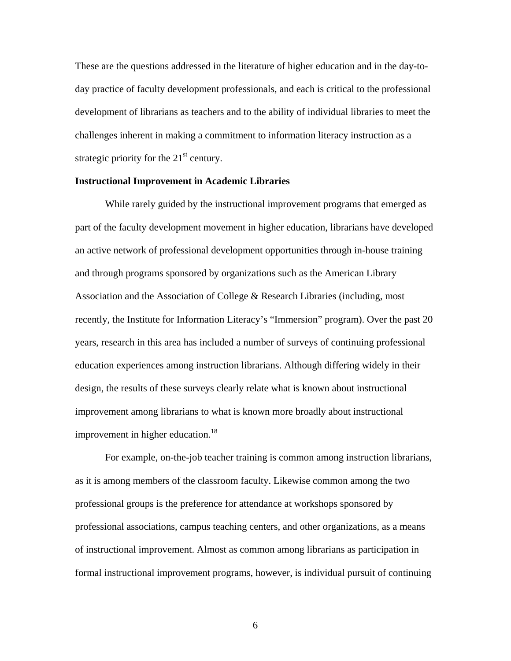These are the questions addressed in the literature of higher education and in the day-today practice of faculty development professionals, and each is critical to the professional development of librarians as teachers and to the ability of individual libraries to meet the challenges inherent in making a commitment to information literacy instruction as a strategic priority for the  $21<sup>st</sup>$  century.

#### **Instructional Improvement in Academic Libraries**

 While rarely guided by the instructional improvement programs that emerged as part of the faculty development movement in higher education, librarians have developed an active network of professional development opportunities through in-house training and through programs sponsored by organizations such as the American Library Association and the Association of College & Research Libraries (including, most recently, the Institute for Information Literacy's "Immersion" program). Over the past 20 years, research in this area has included a number of surveys of continuing professional education experiences among instruction librarians. Although differing widely in their design, the results of these surveys clearly relate what is known about instructional improvement among librarians to what is known more broadly about instructional improvement in higher education.<sup>18</sup>

For example, on-the-job teacher training is common among instruction librarians, as it is among members of the classroom faculty. Likewise common among the two professional groups is the preference for attendance at workshops sponsored by professional associations, campus teaching centers, and other organizations, as a means of instructional improvement. Almost as common among librarians as participation in formal instructional improvement programs, however, is individual pursuit of continuing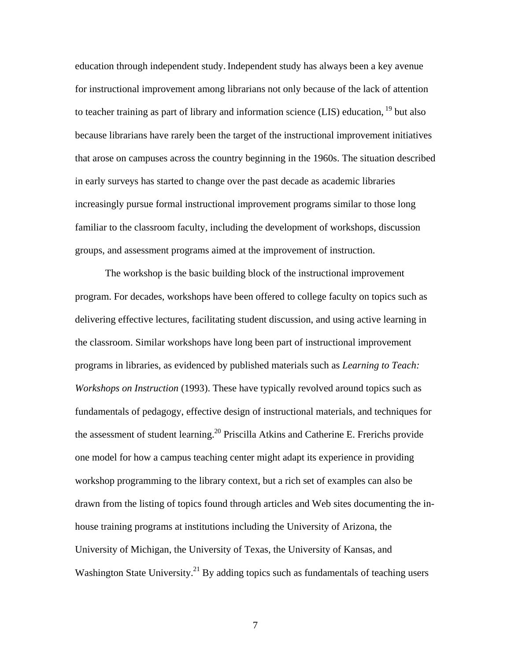education through independent study.Independent study has always been a key avenue for instructional improvement among librarians not only because of the lack of attention to teacher training as part of library and information science (LIS) education,  $^{19}$  but also because librarians have rarely been the target of the instructional improvement initiatives that arose on campuses across the country beginning in the 1960s. The situation described in early surveys has started to change over the past decade as academic libraries increasingly pursue formal instructional improvement programs similar to those long familiar to the classroom faculty, including the development of workshops, discussion groups, and assessment programs aimed at the improvement of instruction.

 The workshop is the basic building block of the instructional improvement program. For decades, workshops have been offered to college faculty on topics such as delivering effective lectures, facilitating student discussion, and using active learning in the classroom. Similar workshops have long been part of instructional improvement programs in libraries, as evidenced by published materials such as *Learning to Teach: Workshops on Instruction* (1993). These have typically revolved around topics such as fundamentals of pedagogy, effective design of instructional materials, and techniques for the assessment of student learning.<sup>20</sup> Priscilla Atkins and Catherine E. Frerichs provide one model for how a campus teaching center might adapt its experience in providing workshop programming to the library context, but a rich set of examples can also be drawn from the listing of topics found through articles and Web sites documenting the inhouse training programs at institutions including the University of Arizona, the University of Michigan, the University of Texas, the University of Kansas, and Washington State University.<sup>21</sup> By adding topics such as fundamentals of teaching users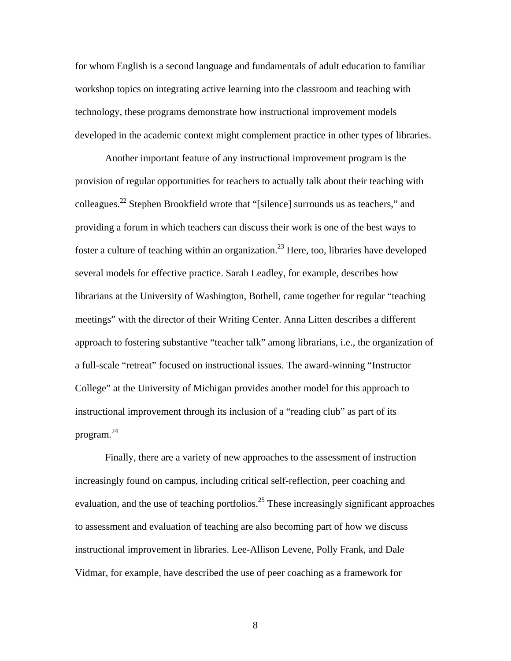for whom English is a second language and fundamentals of adult education to familiar workshop topics on integrating active learning into the classroom and teaching with technology, these programs demonstrate how instructional improvement models developed in the academic context might complement practice in other types of libraries.

 Another important feature of any instructional improvement program is the provision of regular opportunities for teachers to actually talk about their teaching with colleagues.22 Stephen Brookfield wrote that "[silence] surrounds us as teachers," and providing a forum in which teachers can discuss their work is one of the best ways to foster a culture of teaching within an organization.<sup>23</sup> Here, too, libraries have developed several models for effective practice. Sarah Leadley, for example, describes how librarians at the University of Washington, Bothell, came together for regular "teaching meetings" with the director of their Writing Center. Anna Litten describes a different approach to fostering substantive "teacher talk" among librarians, i.e., the organization of a full-scale "retreat" focused on instructional issues. The award-winning "Instructor College" at the University of Michigan provides another model for this approach to instructional improvement through its inclusion of a "reading club" as part of its program. 24

Finally, there are a variety of new approaches to the assessment of instruction increasingly found on campus, including critical self-reflection, peer coaching and evaluation, and the use of teaching portfolios.<sup>25</sup> These increasingly significant approaches to assessment and evaluation of teaching are also becoming part of how we discuss instructional improvement in libraries. Lee-Allison Levene, Polly Frank, and Dale Vidmar, for example, have described the use of peer coaching as a framework for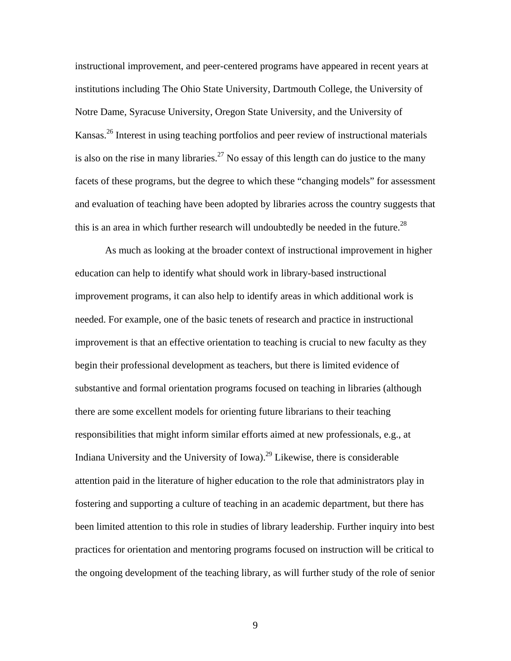instructional improvement, and peer-centered programs have appeared in recent years at institutions including The Ohio State University, Dartmouth College, the University of Notre Dame, Syracuse University, Oregon State University, and the University of Kansas.26 Interest in using teaching portfolios and peer review of instructional materials is also on the rise in many libraries.<sup>27</sup> No essay of this length can do justice to the many facets of these programs, but the degree to which these "changing models" for assessment and evaluation of teaching have been adopted by libraries across the country suggests that this is an area in which further research will undoubtedly be needed in the future.<sup>28</sup>

As much as looking at the broader context of instructional improvement in higher education can help to identify what should work in library-based instructional improvement programs, it can also help to identify areas in which additional work is needed. For example, one of the basic tenets of research and practice in instructional improvement is that an effective orientation to teaching is crucial to new faculty as they begin their professional development as teachers, but there is limited evidence of substantive and formal orientation programs focused on teaching in libraries (although there are some excellent models for orienting future librarians to their teaching responsibilities that might inform similar efforts aimed at new professionals, e.g., at Indiana University and the University of Iowa).<sup>29</sup> Likewise, there is considerable attention paid in the literature of higher education to the role that administrators play in fostering and supporting a culture of teaching in an academic department, but there has been limited attention to this role in studies of library leadership. Further inquiry into best practices for orientation and mentoring programs focused on instruction will be critical to the ongoing development of the teaching library, as will further study of the role of senior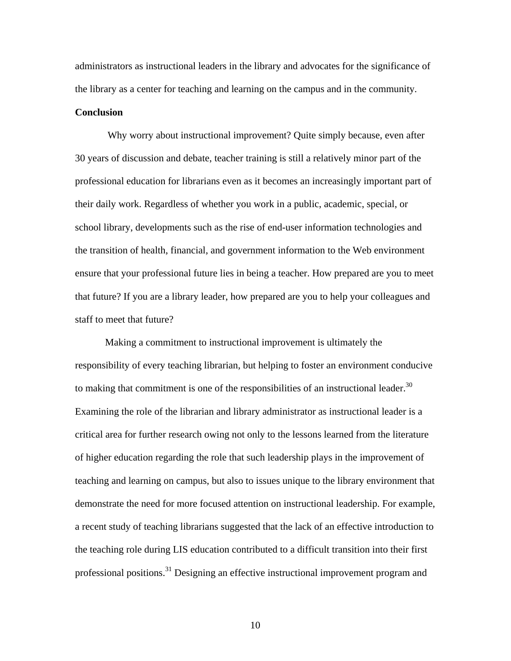administrators as instructional leaders in the library and advocates for the significance of the library as a center for teaching and learning on the campus and in the community.

## **Conclusion**

 Why worry about instructional improvement? Quite simply because, even after 30 years of discussion and debate, teacher training is still a relatively minor part of the professional education for librarians even as it becomes an increasingly important part of their daily work. Regardless of whether you work in a public, academic, special, or school library, developments such as the rise of end-user information technologies and the transition of health, financial, and government information to the Web environment ensure that your professional future lies in being a teacher. How prepared are you to meet that future? If you are a library leader, how prepared are you to help your colleagues and staff to meet that future?

Making a commitment to instructional improvement is ultimately the responsibility of every teaching librarian, but helping to foster an environment conducive to making that commitment is one of the responsibilities of an instructional leader. $30$ Examining the role of the librarian and library administrator as instructional leader is a critical area for further research owing not only to the lessons learned from the literature of higher education regarding the role that such leadership plays in the improvement of teaching and learning on campus, but also to issues unique to the library environment that demonstrate the need for more focused attention on instructional leadership. For example, a recent study of teaching librarians suggested that the lack of an effective introduction to the teaching role during LIS education contributed to a difficult transition into their first professional positions.<sup>31</sup> Designing an effective instructional improvement program and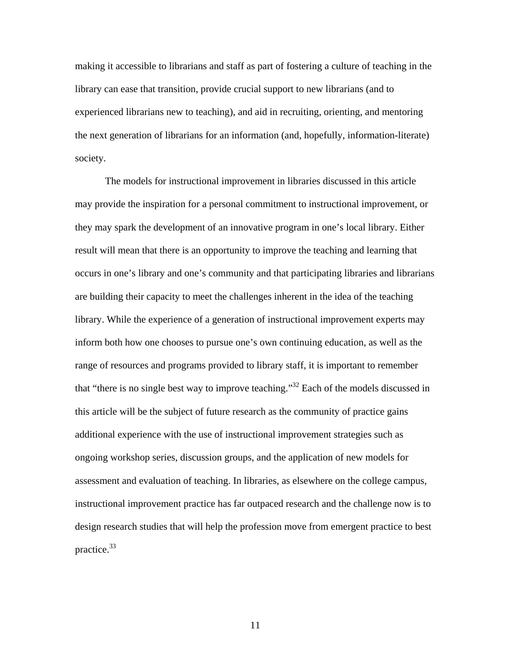making it accessible to librarians and staff as part of fostering a culture of teaching in the library can ease that transition, provide crucial support to new librarians (and to experienced librarians new to teaching), and aid in recruiting, orienting, and mentoring the next generation of librarians for an information (and, hopefully, information-literate) society.

The models for instructional improvement in libraries discussed in this article may provide the inspiration for a personal commitment to instructional improvement, or they may spark the development of an innovative program in one's local library. Either result will mean that there is an opportunity to improve the teaching and learning that occurs in one's library and one's community and that participating libraries and librarians are building their capacity to meet the challenges inherent in the idea of the teaching library. While the experience of a generation of instructional improvement experts may inform both how one chooses to pursue one's own continuing education, as well as the range of resources and programs provided to library staff, it is important to remember that "there is no single best way to improve teaching."<sup>32</sup> Each of the models discussed in this article will be the subject of future research as the community of practice gains additional experience with the use of instructional improvement strategies such as ongoing workshop series, discussion groups, and the application of new models for assessment and evaluation of teaching. In libraries, as elsewhere on the college campus, instructional improvement practice has far outpaced research and the challenge now is to design research studies that will help the profession move from emergent practice to best practice.33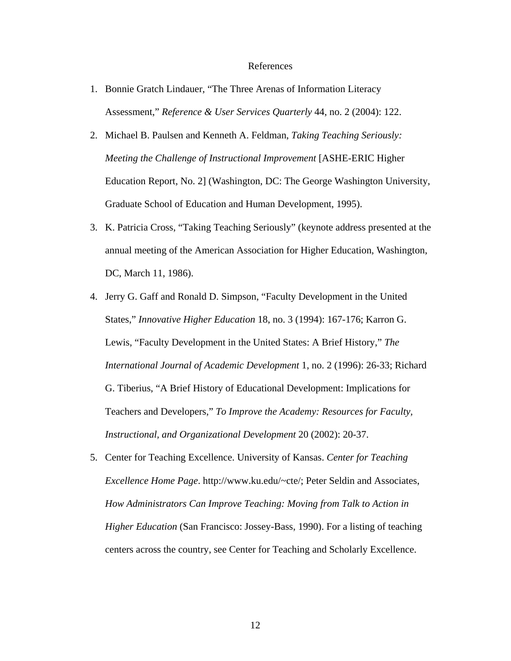#### References

- 1. Bonnie Gratch Lindauer, "The Three Arenas of Information Literacy Assessment," *Reference & User Services Quarterly* 44, no. 2 (2004): 122.
- 2. Michael B. Paulsen and Kenneth A. Feldman, *Taking Teaching Seriously: Meeting the Challenge of Instructional Improvement* [ASHE-ERIC Higher Education Report, No. 2] (Washington, DC: The George Washington University, Graduate School of Education and Human Development, 1995).
- 3. K. Patricia Cross, "Taking Teaching Seriously" (keynote address presented at the annual meeting of the American Association for Higher Education, Washington, DC, March 11, 1986).
- 4. Jerry G. Gaff and Ronald D. Simpson, "Faculty Development in the United States," *Innovative Higher Education* 18, no. 3 (1994): 167-176; Karron G. Lewis, "Faculty Development in the United States: A Brief History," *The International Journal of Academic Development* 1, no. 2 (1996): 26-33; Richard G. Tiberius, "A Brief History of Educational Development: Implications for Teachers and Developers," *To Improve the Academy: Resources for Faculty, Instructional, and Organizational Development* 20 (2002): 20-37.
- 5. Center for Teaching Excellence. University of Kansas. *Center for Teaching Excellence Home Page*. http://www.ku.edu/~cte/; Peter Seldin and Associates, *How Administrators Can Improve Teaching: Moving from Talk to Action in Higher Education* (San Francisco: Jossey-Bass, 1990). For a listing of teaching centers across the country, see Center for Teaching and Scholarly Excellence.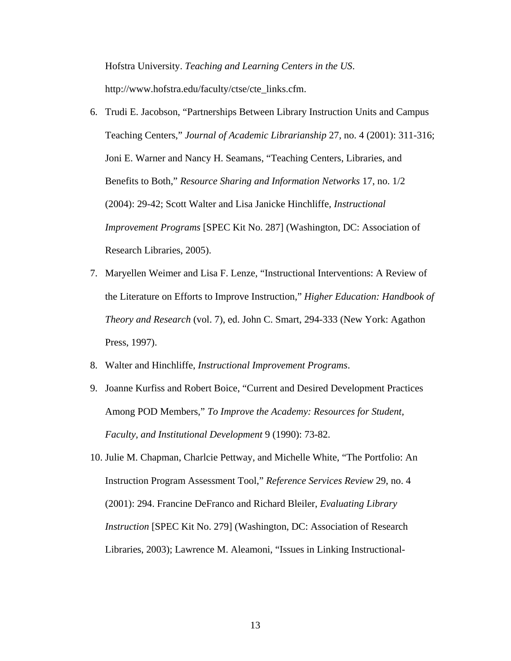Hofstra University. *Teaching and Learning Centers in the US*. http://www.hofstra.edu/faculty/ctse/cte\_links.cfm.

- 6. Trudi E. Jacobson, "Partnerships Between Library Instruction Units and Campus Teaching Centers," *Journal of Academic Librarianship* 27, no. 4 (2001): 311-316; Joni E. Warner and Nancy H. Seamans, "Teaching Centers, Libraries, and Benefits to Both," *Resource Sharing and Information Networks* 17, no. 1/2 (2004): 29-42; Scott Walter and Lisa Janicke Hinchliffe, *Instructional Improvement Programs* [SPEC Kit No. 287] (Washington, DC: Association of Research Libraries, 2005).
- 7. Maryellen Weimer and Lisa F. Lenze, "Instructional Interventions: A Review of the Literature on Efforts to Improve Instruction," *Higher Education: Handbook of Theory and Research* (vol. 7), ed. John C. Smart, 294-333 (New York: Agathon Press, 1997).
- 8. Walter and Hinchliffe, *Instructional Improvement Programs*.
- 9. Joanne Kurfiss and Robert Boice, "Current and Desired Development Practices Among POD Members," *To Improve the Academy: Resources for Student, Faculty, and Institutional Development* 9 (1990): 73-82.
- 10. Julie M. Chapman, Charlcie Pettway, and Michelle White, "The Portfolio: An Instruction Program Assessment Tool," *Reference Services Review* 29, no. 4 (2001): 294. Francine DeFranco and Richard Bleiler, *Evaluating Library Instruction* [SPEC Kit No. 279] (Washington, DC: Association of Research Libraries, 2003); Lawrence M. Aleamoni, "Issues in Linking Instructional-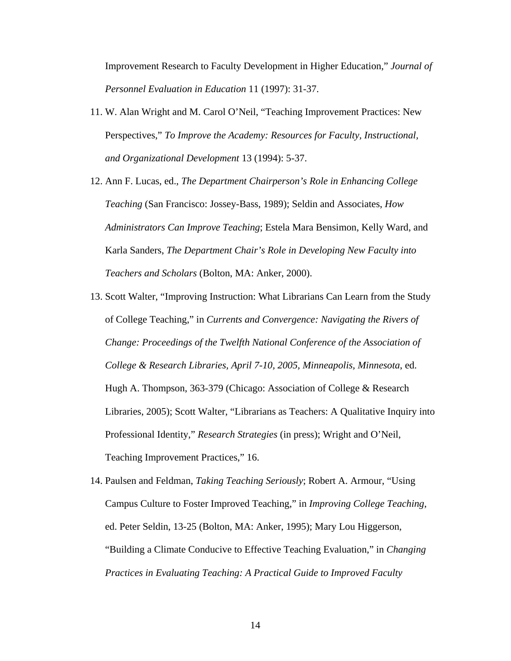Improvement Research to Faculty Development in Higher Education," *Journal of Personnel Evaluation in Education* 11 (1997): 31-37.

- 11. W. Alan Wright and M. Carol O'Neil, "Teaching Improvement Practices: New Perspectives," *To Improve the Academy: Resources for Faculty, Instructional, and Organizational Development* 13 (1994): 5-37.
- 12. Ann F. Lucas, ed., *The Department Chairperson's Role in Enhancing College Teaching* (San Francisco: Jossey-Bass, 1989); Seldin and Associates, *How Administrators Can Improve Teaching*; Estela Mara Bensimon, Kelly Ward, and Karla Sanders, *The Department Chair's Role in Developing New Faculty into Teachers and Scholars* (Bolton, MA: Anker, 2000).
- 13. Scott Walter, "Improving Instruction: What Librarians Can Learn from the Study of College Teaching," in *Currents and Convergence: Navigating the Rivers of Change: Proceedings of the Twelfth National Conference of the Association of College & Research Libraries, April 7-10, 2005, Minneapolis, Minnesota*, ed. Hugh A. Thompson, 363-379 (Chicago: Association of College & Research Libraries, 2005); Scott Walter, "Librarians as Teachers: A Qualitative Inquiry into Professional Identity," *Research Strategies* (in press); Wright and O'Neil, Teaching Improvement Practices," 16.
- 14. Paulsen and Feldman, *Taking Teaching Seriously*; Robert A. Armour, "Using Campus Culture to Foster Improved Teaching," in *Improving College Teaching*, ed. Peter Seldin, 13-25 (Bolton, MA: Anker, 1995); Mary Lou Higgerson, "Building a Climate Conducive to Effective Teaching Evaluation," in *Changing Practices in Evaluating Teaching: A Practical Guide to Improved Faculty*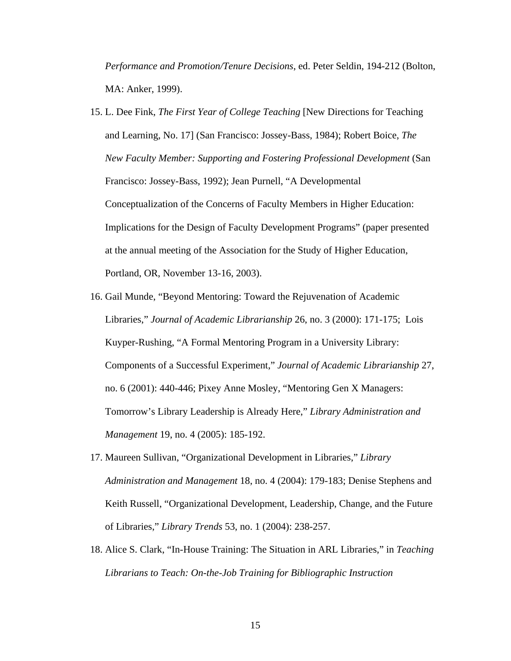*Performance and Promotion/Tenure Decisions*, ed. Peter Seldin, 194-212 (Bolton, MA: Anker, 1999).

- 15. L. Dee Fink, *The First Year of College Teaching* [New Directions for Teaching and Learning, No. 17] (San Francisco: Jossey-Bass, 1984); Robert Boice, *The New Faculty Member: Supporting and Fostering Professional Development* (San Francisco: Jossey-Bass, 1992); Jean Purnell, "A Developmental Conceptualization of the Concerns of Faculty Members in Higher Education: Implications for the Design of Faculty Development Programs" (paper presented at the annual meeting of the Association for the Study of Higher Education, Portland, OR, November 13-16, 2003).
- 16. Gail Munde, "Beyond Mentoring: Toward the Rejuvenation of Academic Libraries," *Journal of Academic Librarianship* 26, no. 3 (2000): 171-175; Lois Kuyper-Rushing, "A Formal Mentoring Program in a University Library: Components of a Successful Experiment," *Journal of Academic Librarianship* 27, no. 6 (2001): 440-446; Pixey Anne Mosley, "Mentoring Gen X Managers: Tomorrow's Library Leadership is Already Here," *Library Administration and Management* 19, no. 4 (2005): 185-192.
- 17. Maureen Sullivan, "Organizational Development in Libraries," *Library Administration and Management* 18, no. 4 (2004): 179-183; Denise Stephens and Keith Russell, "Organizational Development, Leadership, Change, and the Future of Libraries," *Library Trends* 53, no. 1 (2004): 238-257.
- 18. Alice S. Clark, "In-House Training: The Situation in ARL Libraries," in *Teaching Librarians to Teach: On-the-Job Training for Bibliographic Instruction*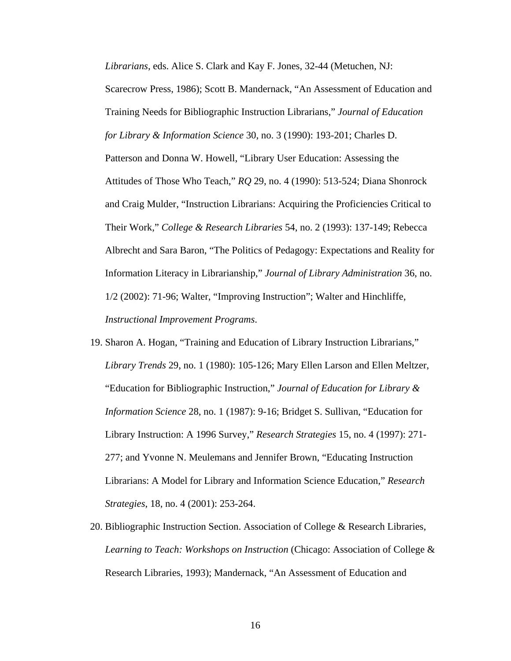*Librarians*, eds. Alice S. Clark and Kay F. Jones, 32-44 (Metuchen, NJ:

Scarecrow Press, 1986); Scott B. Mandernack, "An Assessment of Education and Training Needs for Bibliographic Instruction Librarians," *Journal of Education for Library & Information Science* 30, no. 3 (1990): 193-201; Charles D. Patterson and Donna W. Howell, "Library User Education: Assessing the Attitudes of Those Who Teach," *RQ* 29, no. 4 (1990): 513-524; Diana Shonrock and Craig Mulder, "Instruction Librarians: Acquiring the Proficiencies Critical to Their Work," *College & Research Libraries* 54, no. 2 (1993): 137-149; Rebecca Albrecht and Sara Baron, "The Politics of Pedagogy: Expectations and Reality for Information Literacy in Librarianship," *Journal of Library Administration* 36, no. 1/2 (2002): 71-96; Walter, "Improving Instruction"; Walter and Hinchliffe, *Instructional Improvement Programs*.

- 19. Sharon A. Hogan, "Training and Education of Library Instruction Librarians," *Library Trends* 29, no. 1 (1980): 105-126; Mary Ellen Larson and Ellen Meltzer, "Education for Bibliographic Instruction," *Journal of Education for Library & Information Science* 28, no. 1 (1987): 9-16; Bridget S. Sullivan, "Education for Library Instruction: A 1996 Survey," *Research Strategies* 15, no. 4 (1997): 271- 277; and Yvonne N. Meulemans and Jennifer Brown, "Educating Instruction Librarians: A Model for Library and Information Science Education," *Research Strategies*, 18, no. 4 (2001): 253-264.
- 20. Bibliographic Instruction Section. Association of College & Research Libraries, *Learning to Teach: Workshops on Instruction* (Chicago: Association of College & Research Libraries, 1993); Mandernack, "An Assessment of Education and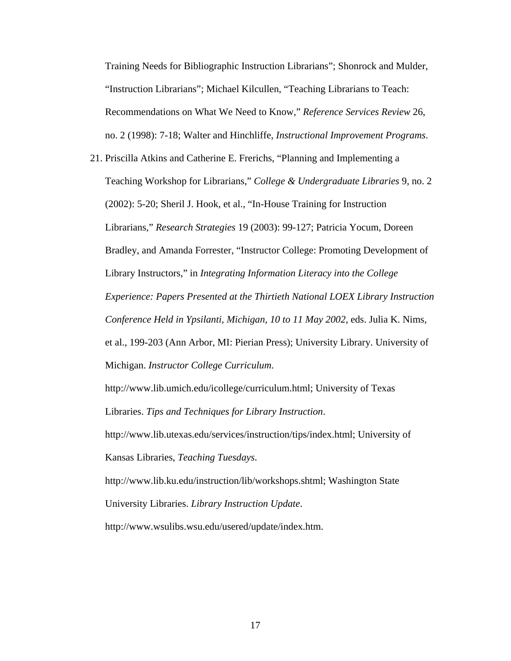Training Needs for Bibliographic Instruction Librarians"; Shonrock and Mulder, "Instruction Librarians"; Michael Kilcullen, "Teaching Librarians to Teach: Recommendations on What We Need to Know," *Reference Services Review* 26, no. 2 (1998): 7-18; Walter and Hinchliffe, *Instructional Improvement Programs*.

21. Priscilla Atkins and Catherine E. Frerichs, "Planning and Implementing a Teaching Workshop for Librarians," *College & Undergraduate Libraries* 9, no. 2 (2002): 5-20; Sheril J. Hook, et al., "In-House Training for Instruction Librarians," *Research Strategies* 19 (2003): 99-127; Patricia Yocum, Doreen Bradley, and Amanda Forrester, "Instructor College: Promoting Development of Library Instructors," in *Integrating Information Literacy into the College Experience: Papers Presented at the Thirtieth National LOEX Library Instruction Conference Held in Ypsilanti, Michigan, 10 to 11 May 2002*, eds. Julia K. Nims, et al., 199-203 (Ann Arbor, MI: Pierian Press); University Library. University of Michigan. *Instructor College Curriculum*.

http://www.lib.umich.edu/icollege/curriculum.html; University of Texas Libraries. *Tips and Techniques for Library Instruction*.

http://www.lib.utexas.edu/services/instruction/tips/index.html; University of Kansas Libraries, *Teaching Tuesdays*.

http://www.lib.ku.edu/instruction/lib/workshops.shtml; Washington State University Libraries. *Library Instruction Update*.

http://www.wsulibs.wsu.edu/usered/update/index.htm.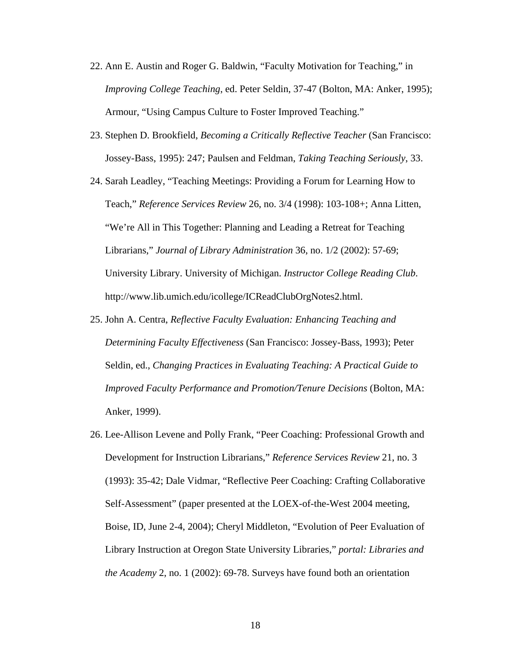- 22. Ann E. Austin and Roger G. Baldwin, "Faculty Motivation for Teaching," in *Improving College Teaching*, ed. Peter Seldin, 37-47 (Bolton, MA: Anker, 1995); Armour, "Using Campus Culture to Foster Improved Teaching."
- 23. Stephen D. Brookfield, *Becoming a Critically Reflective Teacher* (San Francisco: Jossey-Bass, 1995): 247; Paulsen and Feldman, *Taking Teaching Seriously*, 33.
- 24. Sarah Leadley, "Teaching Meetings: Providing a Forum for Learning How to Teach," *Reference Services Review* 26, no. 3/4 (1998): 103-108+; Anna Litten, "We're All in This Together: Planning and Leading a Retreat for Teaching Librarians," *Journal of Library Administration* 36, no. 1/2 (2002): 57-69; University Library. University of Michigan. *Instructor College Reading Club*. http://www.lib.umich.edu/icollege/ICReadClubOrgNotes2.html.
- 25. John A. Centra, *Reflective Faculty Evaluation: Enhancing Teaching and Determining Faculty Effectiveness* (San Francisco: Jossey-Bass, 1993); Peter Seldin, ed., *Changing Practices in Evaluating Teaching: A Practical Guide to Improved Faculty Performance and Promotion/Tenure Decisions* (Bolton, MA: Anker, 1999).
- 26. Lee-Allison Levene and Polly Frank, "Peer Coaching: Professional Growth and Development for Instruction Librarians," *Reference Services Review* 21, no. 3 (1993): 35-42; Dale Vidmar, "Reflective Peer Coaching: Crafting Collaborative Self-Assessment" (paper presented at the LOEX-of-the-West 2004 meeting, Boise, ID, June 2-4, 2004); Cheryl Middleton, "Evolution of Peer Evaluation of Library Instruction at Oregon State University Libraries," *portal: Libraries and the Academy* 2, no. 1 (2002): 69-78. Surveys have found both an orientation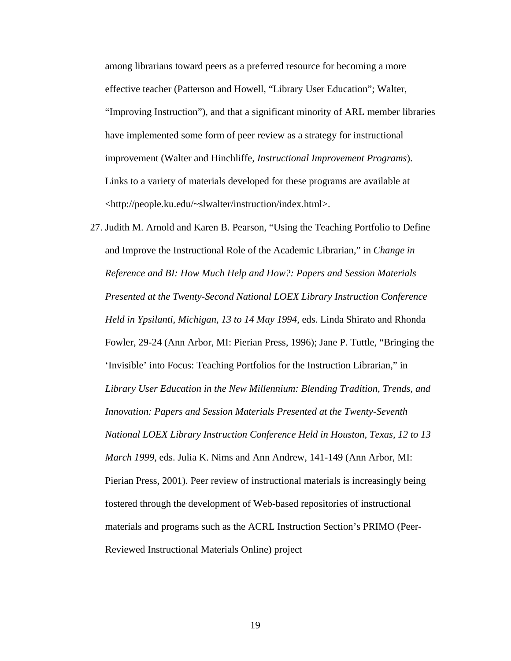among librarians toward peers as a preferred resource for becoming a more effective teacher (Patterson and Howell, "Library User Education"; Walter, "Improving Instruction"), and that a significant minority of ARL member libraries have implemented some form of peer review as a strategy for instructional improvement (Walter and Hinchliffe, *Instructional Improvement Programs*). Links to a variety of materials developed for these programs are available at <http://people.ku.edu/~slwalter/instruction/index.html>.

27. Judith M. Arnold and Karen B. Pearson, "Using the Teaching Portfolio to Define and Improve the Instructional Role of the Academic Librarian," in *Change in Reference and BI: How Much Help and How?: Papers and Session Materials Presented at the Twenty-Second National LOEX Library Instruction Conference Held in Ypsilanti, Michigan, 13 to 14 May 1994*, eds. Linda Shirato and Rhonda Fowler, 29-24 (Ann Arbor, MI: Pierian Press, 1996); Jane P. Tuttle, "Bringing the 'Invisible' into Focus: Teaching Portfolios for the Instruction Librarian," in *Library User Education in the New Millennium: Blending Tradition, Trends, and Innovation: Papers and Session Materials Presented at the Twenty-Seventh National LOEX Library Instruction Conference Held in Houston, Texas, 12 to 13 March 1999*, eds. Julia K. Nims and Ann Andrew, 141-149 (Ann Arbor, MI: Pierian Press, 2001). Peer review of instructional materials is increasingly being fostered through the development of Web-based repositories of instructional materials and programs such as the ACRL Instruction Section's PRIMO (Peer-Reviewed Instructional Materials Online) project